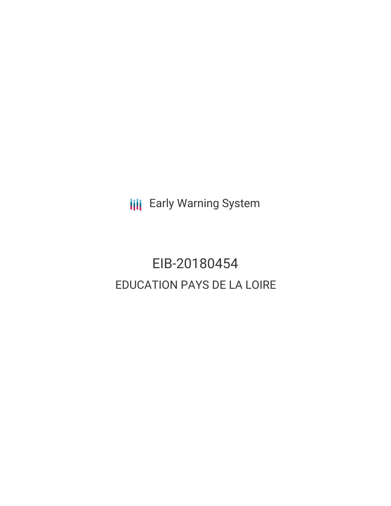**III** Early Warning System

# EIB-20180454 EDUCATION PAYS DE LA LOIRE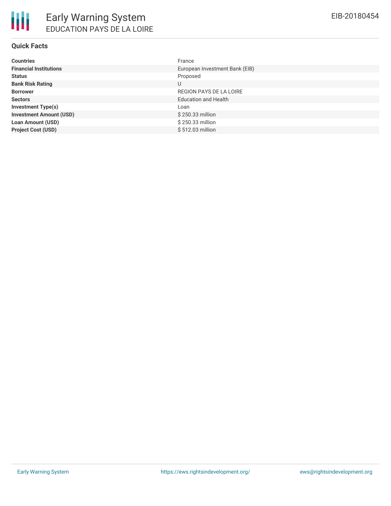## **Quick Facts**

| <b>Countries</b>               | France                         |
|--------------------------------|--------------------------------|
| <b>Financial Institutions</b>  | European Investment Bank (EIB) |
| <b>Status</b>                  | Proposed                       |
| <b>Bank Risk Rating</b>        | U                              |
| <b>Borrower</b>                | REGION PAYS DE LA LOIRE        |
| <b>Sectors</b>                 | <b>Education and Health</b>    |
| <b>Investment Type(s)</b>      | Loan                           |
| <b>Investment Amount (USD)</b> | \$250.33 million               |
| <b>Loan Amount (USD)</b>       | \$250.33 million               |
| <b>Project Cost (USD)</b>      | \$512.03 million               |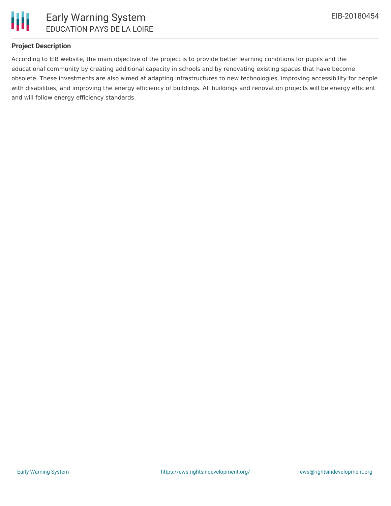

## **Project Description**

According to EIB website, the main objective of the project is to provide better learning conditions for pupils and the educational community by creating additional capacity in schools and by renovating existing spaces that have become obsolete. These investments are also aimed at adapting infrastructures to new technologies, improving accessibility for people with disabilities, and improving the energy efficiency of buildings. All buildings and renovation projects will be energy efficient and will follow energy efficiency standards.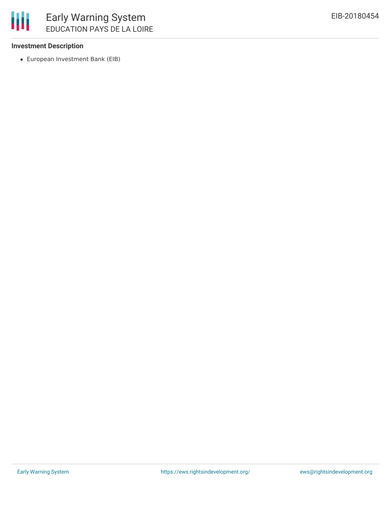

### **Investment Description**

European Investment Bank (EIB)